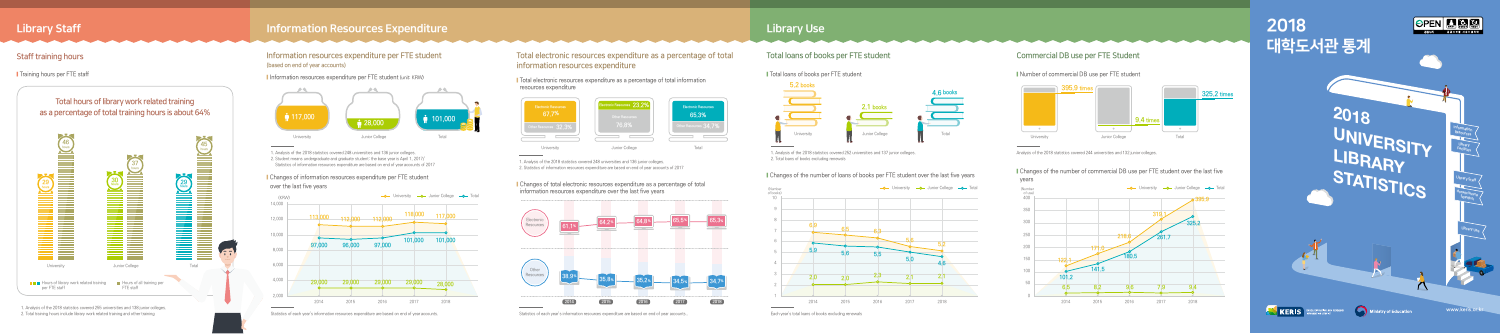# 2018 대학도서관 통계





stry of Education

# **2018 UNIVERSITY LIBRARY STATISTICS**

## Information resources expenditure per FTE student Total electronic resources expenditure as a percentage of total Total loans of books per FTE student Commercial DB use per FTE Student Commercial DB use per FTE Student information resources expenditure

## Information resources expenditure per FTE student (based on end of year accounts)

■ Training hours per FTE staff staff and the state of total information resources expenditure per FTE student (unit: KRW) ■ Total electronic resources expenditure as a percentage of total information

1. Analysis of the 2018 statistics covered 248 universities and 136 junior colleges. 2. Student means undergraduate and graduate student: the base year is April 1, 2017/ Student means undergraduate and graduate student. the base year is April 1, 2017 1.<br>Statistics of information resources expenditure are based on end of year accounts of 2017 1. Analysis of the 2018 statistics covered 248 u

resources expenditure

2. Statistics of information resources expenditure are based on end of year accounts of 2017

**Changes of total electronic resources expenditure as a percentage of total** information resources expenditure over the last five years

1. Analysis of the 2018 statistics covered 252 universities and 137 junior colleges. 2. Total loans of books excluding renewals

## Tollary ■ Changes of the number of loans of books per FTE student over the last five years vears vears

**Changes of information resources expenditure per FTE student** over the last five years

Analysis of the 2018 statistics covered 244 universities and 132 junior colleges.

■ Changes of the number of commercial DB use per FTE student over the last five













1. Analysis of the 2018 statistics covered 255 universities and 138 junior colleges. 2. Total training hours include library work related training and other training

## Library Staff **Information Resources Expenditure** Library Use and Library Use and Library Use Library Use and Lib



**KERIS** 







Statistics of each year's information resources expenditure are based on end of year accounts. The Statistics of each year's information resources expenditure are based on end of year accounts..





■ Number of commercial DB use per FTE student





www.keris.or.kr